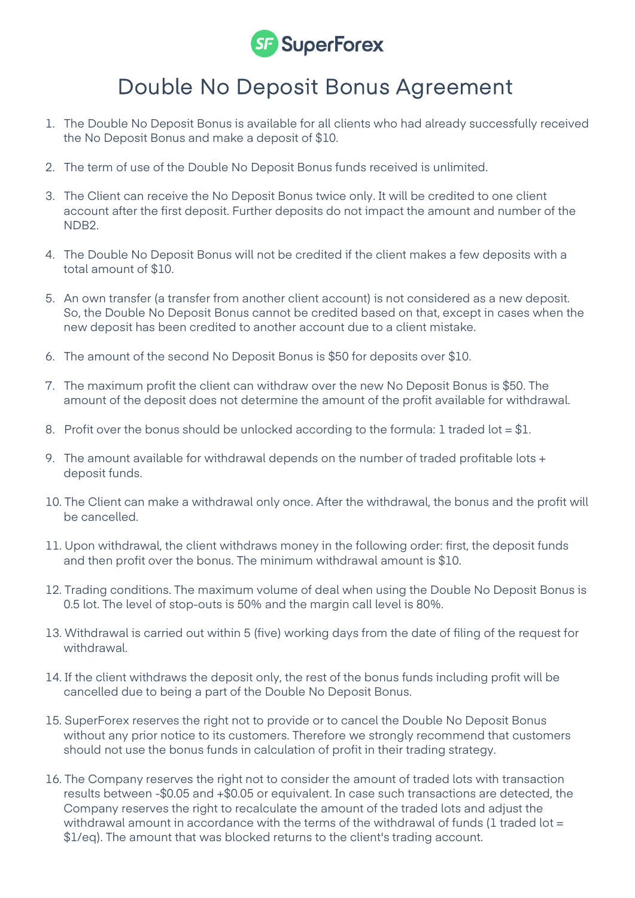

## Double No Deposit Bonus Agreement

- 1. The Double No Deposit Bonus is available for all clients who had already successfully received the No Deposit Bonus and make a deposit of \$10.
- 2. The term of use of the Double No Deposit Bonus funds received is unlimited.
- 3. The Client can receive the No Deposit Bonus twice only. It will be credited to one client account after the first deposit. Further deposits do not impact the amount and number of the NDB2.
- 4. The Double No Deposit Bonus will not be credited if the client makes a few deposits with a total amount of \$10.
- 5. An own transfer (a transfer from another client account) is not considered as a new deposit. So, the Double No Deposit Bonus cannot be credited based on that, except in cases when the new deposit has been credited to another account due to a client mistake.
- 6. The amount of the second No Deposit Bonus is \$50 for deposits over \$10.
- 7. The maximum profit the client can withdraw over the new No Deposit Bonus is \$50. The amount of the deposit does not determine the amount of the profit available for withdrawal.
- 8. Profit over the bonus should be unlocked according to the formula: 1 traded lot =  $$1$ .
- 9. The amount available for withdrawal depends on the number of traded profitable lots + deposit funds.
- 10. The Client can make a withdrawal only once. After the withdrawal, the bonus and the profit will be cancelled.
- 11. Upon withdrawal, the client withdraws money in the following order: first, the deposit funds and then profit over the bonus. The minimum withdrawal amount is \$10.
- 12. Trading conditions. The maximum volume of deal when using the Double No Deposit Bonus is 0.5 lot. The level of stop-outs is 50% and the margin call level is 80%.
- 13. Withdrawal is carried out within 5 (five) working days from the date of filing of the request for withdrawal.
- 14. If the client withdraws the deposit only, the rest of the bonus funds including profit will be cancelled due to being a part of the Double No Deposit Bonus.
- 15. SuperForex reserves the right not to provide or to cancel the Double No Deposit Bonus without any prior notice to its customers. Therefore we strongly recommend that customers should not use the bonus funds in calculation of profit in their trading strategy.
- 16. The Company reserves the right not to consider the amount of traded lots with transaction results between -\$0.05 and +\$0.05 or equivalent. In case such transactions are detected, the Company reserves the right to recalculate the amount of the traded lots and adjust the withdrawal amount in accordance with the terms of the withdrawal of funds (1 traded lot  $=$ \$1/eq). The amount that was blocked returns to the client's trading account.